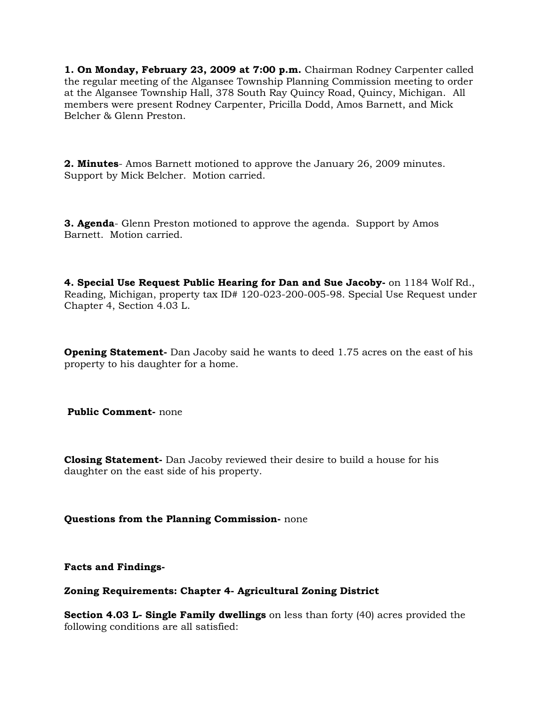**1. On Monday, February 23, 2009 at 7:00 p.m.** Chairman Rodney Carpenter called the regular meeting of the Algansee Township Planning Commission meeting to order at the Algansee Township Hall, 378 South Ray Quincy Road, Quincy, Michigan.All members were present Rodney Carpenter, Pricilla Dodd, Amos Barnett, and Mick Belcher & Glenn Preston.

**2. Minutes**- Amos Barnett motioned to approve the January 26, 2009 minutes. Support by Mick Belcher. Motion carried.

**3. Agenda**- Glenn Preston motioned to approve the agenda. Support by Amos Barnett. Motion carried.

**4. Special Use Request Public Hearing for Dan and Sue Jacoby-** on 1184 Wolf Rd., Reading, Michigan, property tax ID# 120-023-200-005-98. Special Use Request under Chapter 4, Section 4.03 L.

**Opening Statement-** Dan Jacoby said he wants to deed 1.75 acres on the east of his property to his daughter for a home.

**Public Comment-** none

**Closing Statement-** Dan Jacoby reviewed their desire to build a house for his daughter on the east side of his property.

**Questions from the Planning Commission-** none

**Facts and Findings-**

## **Zoning Requirements: Chapter 4- Agricultural Zoning District**

**Section 4.03 L- Single Family dwellings** on less than forty (40) acres provided the following conditions are all satisfied: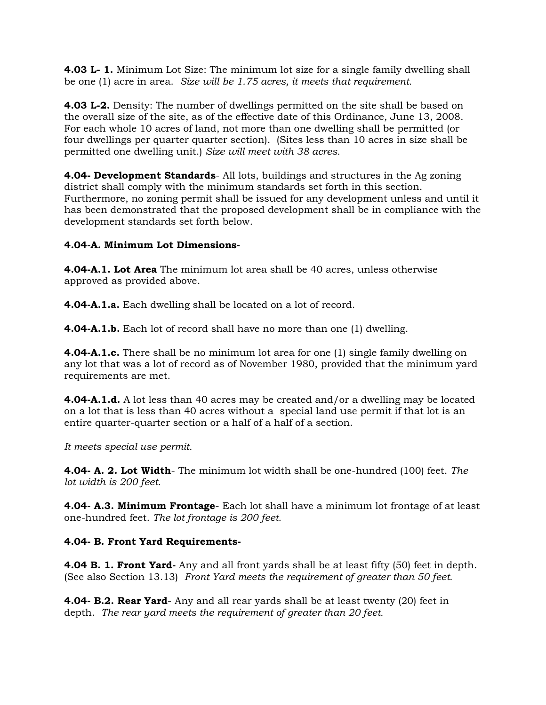**4.03 L- 1.** Minimum Lot Size: The minimum lot size for a single family dwelling shall be one (1) acre in area. *Size will be 1.75 acres, it meets that requirement.*

**4.03 L-2.** Density: The number of dwellings permitted on the site shall be based on the overall size of the site, as of the effective date of this Ordinance, June 13, 2008. For each whole 10 acres of land, not more than one dwelling shall be permitted (or four dwellings per quarter quarter section). (Sites less than 10 acres in size shall be permitted one dwelling unit.) *Size will meet with 38 acres.*

**4.04- Development Standards**- All lots, buildings and structures in the Ag zoning district shall comply with the minimum standards set forth in this section. Furthermore, no zoning permit shall be issued for any development unless and until it has been demonstrated that the proposed development shall be in compliance with the development standards set forth below.

## **4.04-A. Minimum Lot Dimensions-**

**4.04-A.1. Lot Area** The minimum lot area shall be 40 acres, unless otherwise approved as provided above.

**4.04-A.1.a.** Each dwelling shall be located on a lot of record.

**4.04-A.1.b.** Each lot of record shall have no more than one (1) dwelling.

**4.04-A.1.c.** There shall be no minimum lot area for one (1) single family dwelling on any lot that was a lot of record as of November 1980, provided that the minimum yard requirements are met.

**4.04-A.1.d.** A lot less than 40 acres may be created and/or a dwelling may be located on a lot that is less than 40 acres without a special land use permit if that lot is an entire quarter-quarter section or a half of a half of a section.

*It meets special use permit.*

**4.04- A. 2. Lot Width**- The minimum lot width shall be one-hundred (100) feet. *The lot width is 200 feet.*

**4.04- A.3. Minimum Frontage**- Each lot shall have a minimum lot frontage of at least one-hundred feet. *The lot frontage is 200 feet.*

# **4.04- B. Front Yard Requirements-**

**4.04 B. 1. Front Yard-** Any and all front yards shall be at least fifty (50) feet in depth. (See also Section 13.13) *Front Yard meets the requirement of greater than 50 feet.*

**4.04- B.2. Rear Yard**- Any and all rear yards shall be at least twenty (20) feet in depth. *The rear yard meets the requirement of greater than 20 feet.*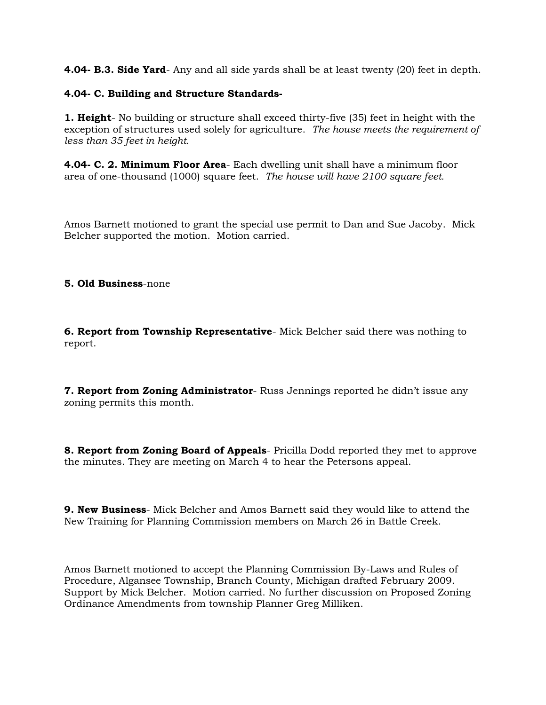**4.04- B.3. Side Yard**- Any and all side yards shall be at least twenty (20) feet in depth.

### **4.04- C. Building and Structure Standards-**

**1. Height**- No building or structure shall exceed thirty-five (35) feet in height with the exception of structures used solely for agriculture. *The house meets the requirement of less than 35 feet in height.*

**4.04- C. 2. Minimum Floor Area**- Each dwelling unit shall have a minimum floor area of one-thousand (1000) square feet. *The house will have 2100 square feet.*

Amos Barnett motioned to grant the special use permit to Dan and Sue Jacoby. Mick Belcher supported the motion. Motion carried.

#### **5. Old Business**-none

**6. Report from Township Representative**- Mick Belcher said there was nothing to report.

**7. Report from Zoning Administrator**- Russ Jennings reported he didn't issue any zoning permits this month.

**8. Report from Zoning Board of Appeals**- Pricilla Dodd reported they met to approve the minutes. They are meeting on March 4 to hear the Petersons appeal.

**9. New Business**- Mick Belcher and Amos Barnett said they would like to attend the New Training for Planning Commission members on March 26 in Battle Creek.

Amos Barnett motioned to accept the Planning Commission By-Laws and Rules of Procedure, Algansee Township, Branch County, Michigan drafted February 2009. Support by Mick Belcher. Motion carried. No further discussion on Proposed Zoning Ordinance Amendments from township Planner Greg Milliken.